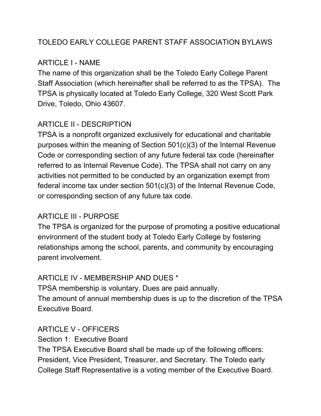# TOLEDO EARLY COLLEGE PARENT STAFF ASSOCIATION BYLAWS

# ARTICLE I - NAME

The name of this organization shall be the Toledo Early College Parent Staff Association (which hereinafter shall be referred to as the TPSA). The TPSA is physically located at Toledo Early College, 320 West Scott Park Drive, Toledo, Ohio 43607.

# ARTICLE II - DESCRIPTION

TPSA is a nonprofit organized exclusively for educational and charitable purposes within the meaning of Section 501(c)(3) of the Internal Revenue Code or corresponding section of any future federal tax code (hereinafter referred to as Internal Revenue Code). The TPSA shall not carry on any activities not permitted to be conducted by an organization exempt from federal income tax under section 501(c)(3) of the Internal Revenue Code, or corresponding section of any future tax code.

# ARTICLE III - PURPOSE

The TPSA is organized for the purpose of promoting a positive educational environment of the student body at Toledo Early College by fostering relationships among the school, parents, and community by encouraging parent involvement.

# ARTICLE IV - MEMBERSHIP AND DUES \*

TPSA membership is voluntary. Dues are paid annually. The amount of annual membership dues is up to the discretion of the TPSA Executive Board.

# ARTICLE V - OFFICERS

Section 1: Executive Board

The TPSA Executive Board shall be made up of the following officers: President, Vice President, Treasurer, and Secretary. The Toledo early College Staff Representative is a voting member of the Executive Board.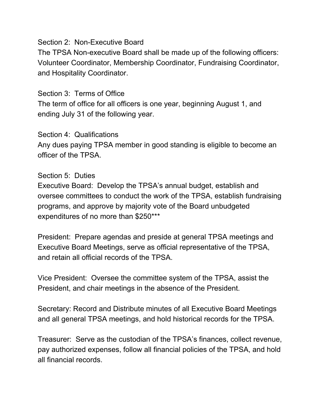#### Section 2: Non-Executive Board

The TPSA Non-executive Board shall be made up of the following officers: Volunteer Coordinator, Membership Coordinator, Fundraising Coordinator, and Hospitality Coordinator.

### Section 3: Terms of Office

The term of office for all officers is one year, beginning August 1, and ending July 31 of the following year.

### Section 4: Qualifications

Any dues paying TPSA member in good standing is eligible to become an officer of the TPSA.

### Section 5: Duties

Executive Board: Develop the TPSA's annual budget, establish and oversee committees to conduct the work of the TPSA, establish fundraising programs, and approve by majority vote of the Board unbudgeted expenditures of no more than \$250\*\*\*

President: Prepare agendas and preside at general TPSA meetings and Executive Board Meetings, serve as official representative of the TPSA, and retain all official records of the TPSA.

Vice President: Oversee the committee system of the TPSA, assist the President, and chair meetings in the absence of the President.

Secretary: Record and Distribute minutes of all Executive Board Meetings and all general TPSA meetings, and hold historical records for the TPSA.

Treasurer: Serve as the custodian of the TPSA's finances, collect revenue, pay authorized expenses, follow all financial policies of the TPSA, and hold all financial records.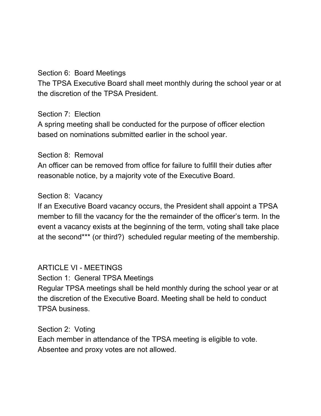### Section 6: Board Meetings

The TPSA Executive Board shall meet monthly during the school year or at the discretion of the TPSA President.

### Section 7: Election

A spring meeting shall be conducted for the purpose of officer election based on nominations submitted earlier in the school year.

### Section 8: Removal

An officer can be removed from office for failure to fulfill their duties after reasonable notice, by a majority vote of the Executive Board.

# Section 8: Vacancy

If an Executive Board vacancy occurs, the President shall appoint a TPSA member to fill the vacancy for the the remainder of the officer's term. In the event a vacancy exists at the beginning of the term, voting shall take place at the second\*\*\* (or third?) scheduled regular meeting of the membership.

# ARTICLE VI - MEETINGS

Section 1: General TPSA Meetings Regular TPSA meetings shall be held monthly during the school year or at the discretion of the Executive Board. Meeting shall be held to conduct TPSA business.

# Section 2: Voting

Each member in attendance of the TPSA meeting is eligible to vote. Absentee and proxy votes are not allowed.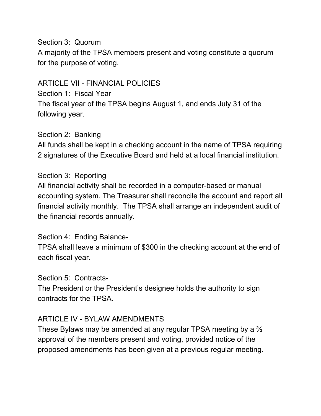### Section 3: Quorum

A majority of the TPSA members present and voting constitute a quorum for the purpose of voting.

### ARTICLE VII - FINANCIAL POLICIES

Section 1: Fiscal Year The fiscal year of the TPSA begins August 1, and ends July 31 of the following year.

### Section 2: Banking

All funds shall be kept in a checking account in the name of TPSA requiring 2 signatures of the Executive Board and held at a local financial institution.

### Section 3: Reporting

All financial activity shall be recorded in a computer-based or manual accounting system. The Treasurer shall reconcile the account and report all financial activity monthly. The TPSA shall arrange an independent audit of the financial records annually.

### Section 4: Ending Balance-

TPSA shall leave a minimum of \$300 in the checking account at the end of each fiscal year.

### Section 5: Contracts-

The President or the President's designee holds the authority to sign contracts for the TPSA.

### ARTICLE IV - BYLAW AMENDMENTS

These Bylaws may be amended at any regular TPSA meeting by a ⅔ approval of the members present and voting, provided notice of the proposed amendments has been given at a previous regular meeting.